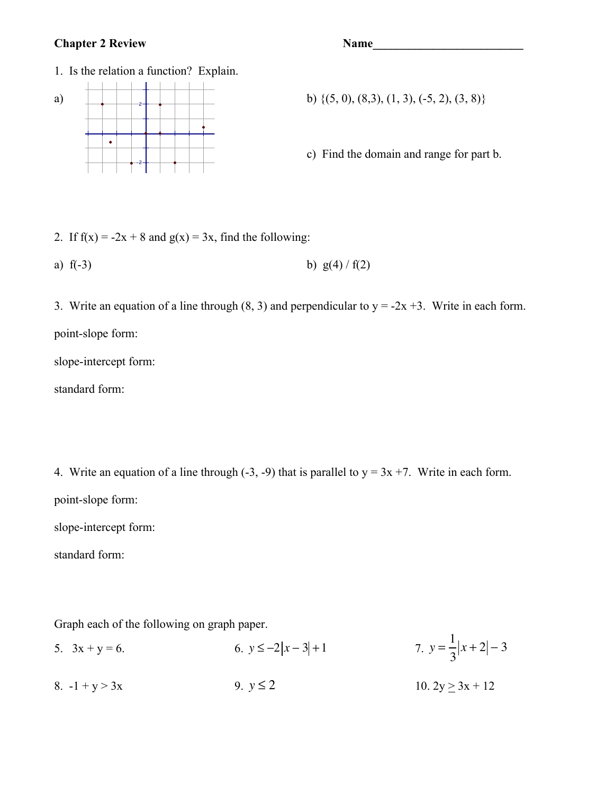## **Chapter 2 Review Name\_\_\_\_\_\_\_\_\_\_\_\_\_\_\_\_\_\_\_\_\_\_\_\_\_**

4 1. Is the relation a function? Explain.



- 
- c) Find the domain and range for part b.
- 2. If  $f(x) = -2x + 8$  and  $g(x) = 3x$ , find the following:

a)  $f(-3)$  b)  $g(4) / f(2)$ 

3. Write an equation of a line through (8, 3) and perpendicular to  $y = -2x +3$ . Write in each form. point-slope form:

slope-intercept form:

standard form:

4. Write an equation of a line through (-3, -9) that is parallel to  $y = 3x + 7$ . Write in each form. point-slope form:

slope-intercept form:

standard form:

Graph each of the following on graph paper.

5.  $3x + y = 6.$  6.  $y \le -2|x-3|+1$ 3  $|x+2|-3$ 8.  $-1 + y > 3x$  9.  $y \le 2$  10.  $2y > 3x + 12$